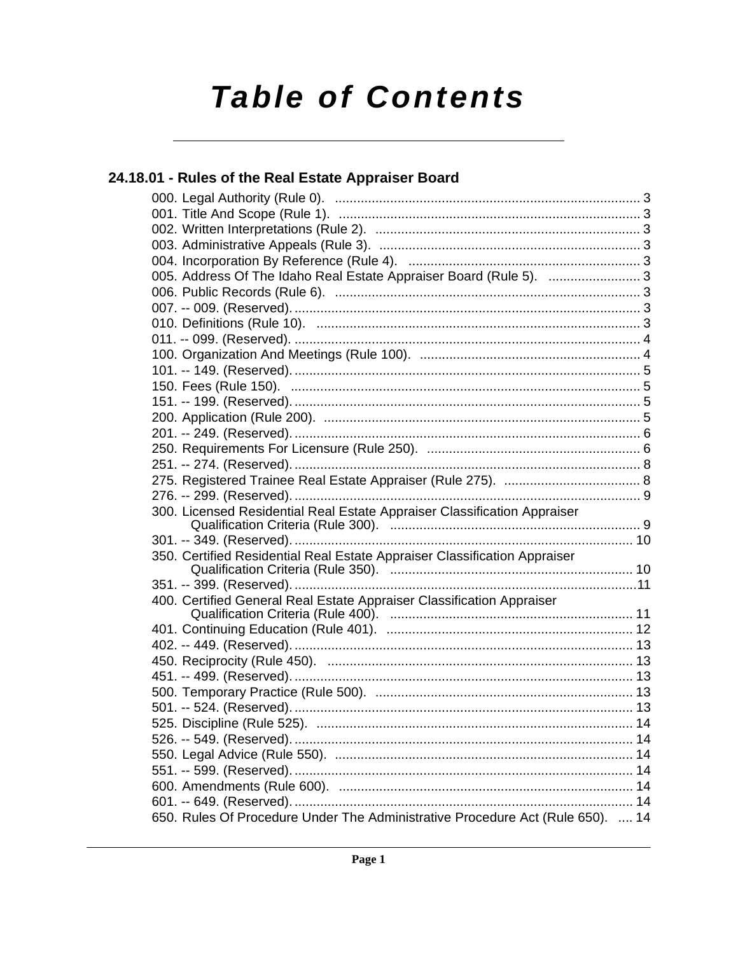# **Table of Contents**

# 24.18.01 - Rules of the Real Estate Appraiser Board

| 005. Address Of The Idaho Real Estate Appraiser Board (Rule 5).  3             |  |
|--------------------------------------------------------------------------------|--|
|                                                                                |  |
|                                                                                |  |
|                                                                                |  |
|                                                                                |  |
|                                                                                |  |
|                                                                                |  |
|                                                                                |  |
|                                                                                |  |
|                                                                                |  |
|                                                                                |  |
|                                                                                |  |
|                                                                                |  |
|                                                                                |  |
|                                                                                |  |
| 300. Licensed Residential Real Estate Appraiser Classification Appraiser       |  |
|                                                                                |  |
|                                                                                |  |
|                                                                                |  |
| 350. Certified Residential Real Estate Appraiser Classification Appraiser      |  |
|                                                                                |  |
|                                                                                |  |
| 400. Certified General Real Estate Appraiser Classification Appraiser          |  |
|                                                                                |  |
|                                                                                |  |
|                                                                                |  |
|                                                                                |  |
|                                                                                |  |
|                                                                                |  |
|                                                                                |  |
|                                                                                |  |
|                                                                                |  |
|                                                                                |  |
|                                                                                |  |
| 650. Rules Of Procedure Under The Administrative Procedure Act (Rule 650).  14 |  |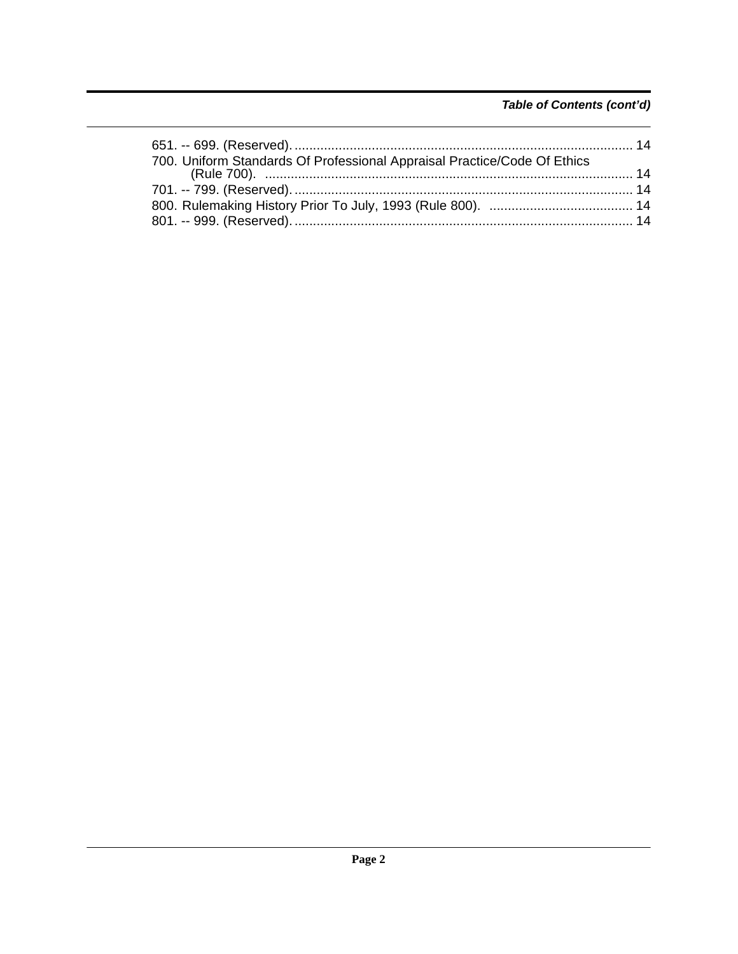# Table of Contents (cont'd)

| 700. Uniform Standards Of Professional Appraisal Practice/Code Of Ethics |  |
|--------------------------------------------------------------------------|--|
|                                                                          |  |
|                                                                          |  |
|                                                                          |  |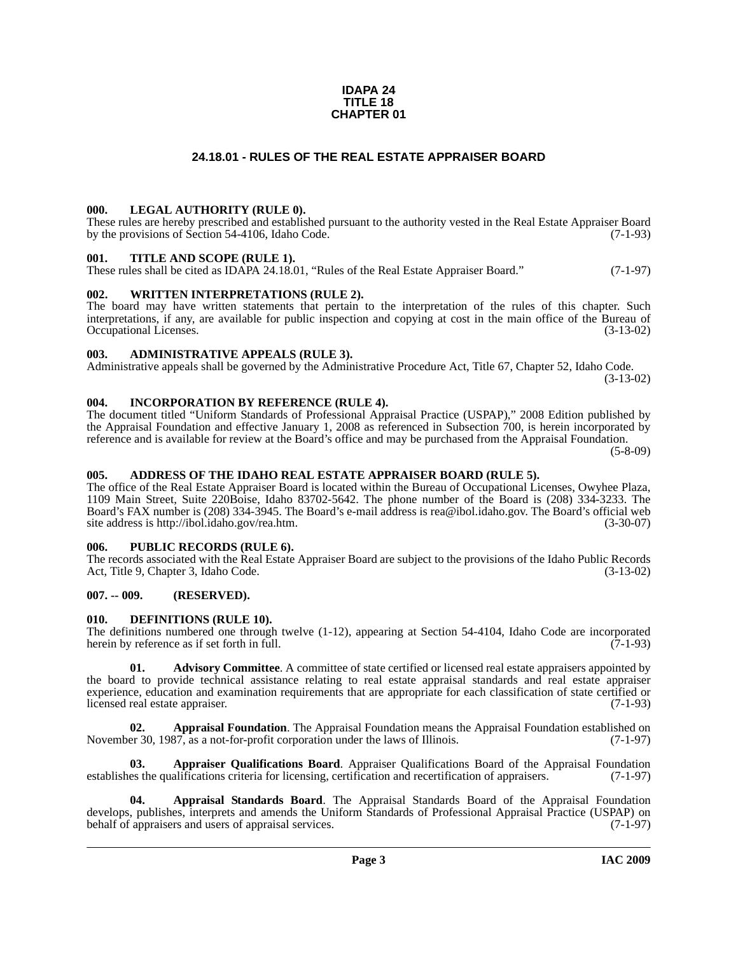#### **IDAPA 24 TITLE 18 CHAPTER 01**

# **24.18.01 - RULES OF THE REAL ESTATE APPRAISER BOARD**

## <span id="page-2-1"></span><span id="page-2-0"></span>**000. LEGAL AUTHORITY (RULE 0).**

These rules are hereby prescribed and established pursuant to the authority vested in the Real Estate Appraiser Board by the provisions of Section 54-4106, Idaho Code. (7-1-93)

### <span id="page-2-2"></span>**001. TITLE AND SCOPE (RULE 1).**

These rules shall be cited as IDAPA 24.18.01, "Rules of the Real Estate Appraiser Board." (7-1-97)

# <span id="page-2-3"></span>**002. WRITTEN INTERPRETATIONS (RULE 2).**

The board may have written statements that pertain to the interpretation of the rules of this chapter. Such interpretations, if any, are available for public inspection and copying at cost in the main office of the Bureau of Occupational Licenses. (3-13-02) Occupational Licenses.

# <span id="page-2-4"></span>**003. ADMINISTRATIVE APPEALS (RULE 3).**

Administrative appeals shall be governed by the Administrative Procedure Act, Title 67, Chapter 52, Idaho Code. (3-13-02)

<span id="page-2-5"></span>**004. INCORPORATION BY REFERENCE (RULE 4).**

The document titled "Uniform Standards of Professional Appraisal Practice (USPAP)," 2008 Edition published by the Appraisal Foundation and effective January 1, 2008 as referenced in Subsection 700, is herein incorporated by reference and is available for review at the Board's office and may be purchased from the Appraisal Foundation.

(5-8-09)

# <span id="page-2-6"></span>**005. ADDRESS OF THE IDAHO REAL ESTATE APPRAISER BOARD (RULE 5).**

[The office of the Real Estate Appraiser Board is located within the Bureau of Occupational Licenses, Owyhee Plaza,](mailto:rea@ibol.idaho.gov)  1109 Main Street, Suite 220Boise, Idaho 83702-5642. The phone number of the Board is (208) 334-3233. The Board's FAX number is (208) 334-3945. The Board's e-mail address is rea@ibol.idaho.gov. The Board's official web [site address is](mailto:rea@ibol.idaho.gov) [http://ibol.idaho.gov/rea.htm. \(3-30-07\)](http://ibol.idaho.gov/rea.htm)

### <span id="page-2-7"></span>**006. PUBLIC RECORDS (RULE 6).**

The records associated with the Real Estate Appraiser Board are subject to the provisions of the Idaho Public Records Act, Title 9, Chapter 3, Idaho Code. (3-13-02)

## <span id="page-2-8"></span>**007. -- 009. (RESERVED).**

### <span id="page-2-14"></span><span id="page-2-9"></span>**010. DEFINITIONS (RULE 10).**

The definitions numbered one through twelve (1-12), appearing at Section 54-4104, Idaho Code are incorporated herein by reference as if set forth in full. (7-1-93) herein by reference as if set forth in full.

<span id="page-2-10"></span>**01.** Advisory Committee. A committee of state certified or licensed real estate appraisers appointed by the board to provide technical assistance relating to real estate appraisal standards and real estate appraiser experience, education and examination requirements that are appropriate for each classification of state certified or licensed real estate appraiser. (7-1-93)

<span id="page-2-11"></span>**02. Appraisal Foundation**. The Appraisal Foundation means the Appraisal Foundation established on November 30, 1987, as a not-for-profit corporation under the laws of Illinois. (7-1-97)

<span id="page-2-13"></span>**03. Appraiser Qualifications Board**. Appraiser Qualifications Board of the Appraisal Foundation establishes the qualifications criteria for licensing, certification and recertification of appraisers. (7-1-97)

<span id="page-2-12"></span>**04. Appraisal Standards Board**. The Appraisal Standards Board of the Appraisal Foundation develops, publishes, interprets and amends the Uniform Standards of Professional Appraisal Practice (USPAP) on behalf of appraisers and users of appraisal services. (7-1-97) behalf of appraisers and users of appraisal services.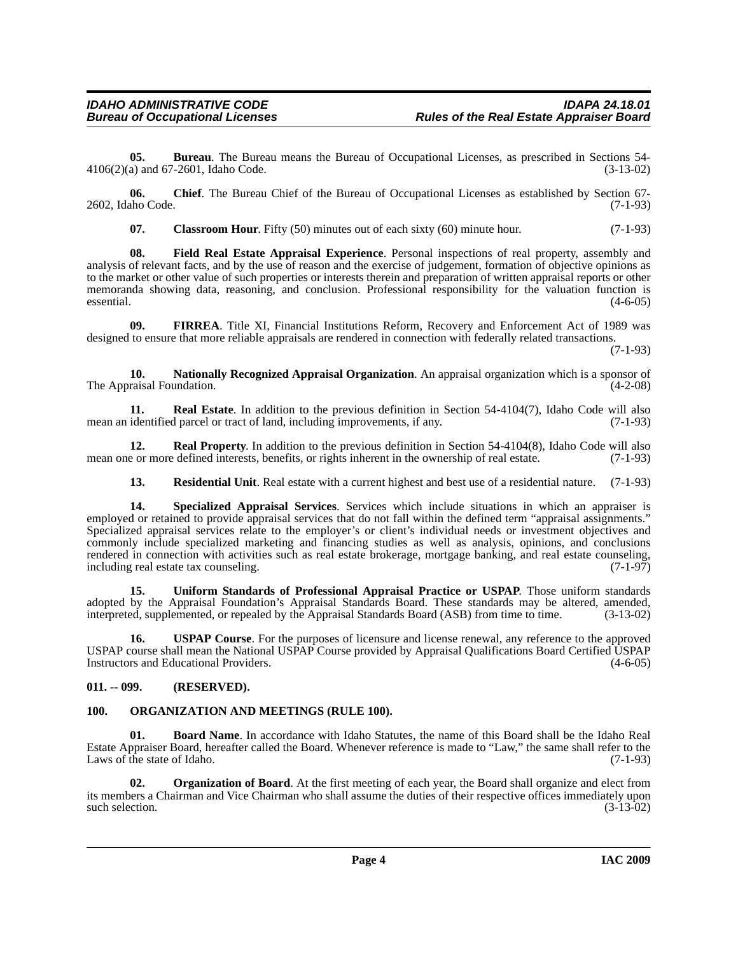**05. Bureau**. The Bureau means the Bureau of Occupational Licenses, as prescribed in Sections 54- 4106(2)(a) and 67-2601, Idaho Code. (3-13-02)

**06. Chief**. The Bureau Chief of the Bureau of Occupational Licenses as established by Section 67- 2602, Idaho Code. (7-1-93)

<span id="page-3-4"></span><span id="page-3-3"></span>**07.** Classroom Hour. Fifty (50) minutes out of each sixty (60) minute hour. (7-1-93)

**08. Field Real Estate Appraisal Experience**. Personal inspections of real property, assembly and analysis of relevant facts, and by the use of reason and the exercise of judgement, formation of objective opinions as to the market or other value of such properties or interests therein and preparation of written appraisal reports or other memoranda showing data, reasoning, and conclusion. Professional responsibility for the valuation function is  $\epsilon$  essential. (4-6-05)

<span id="page-3-5"></span>**09. FIRREA**. Title XI, Financial Institutions Reform, Recovery and Enforcement Act of 1989 was designed to ensure that more reliable appraisals are rendered in connection with federally related transactions.

(7-1-93)

<span id="page-3-6"></span>**10. Nationally Recognized Appraisal Organization**. An appraisal organization which is a sponsor of The Appraisal Foundation. (4-2-08)

<span id="page-3-9"></span>**11. Real Estate**. In addition to the previous definition in Section 54-4104(7), Idaho Code will also mean an identified parcel or tract of land, including improvements, if any. (7-1-93)

**12. Real Property**. In addition to the previous definition in Section 54-4104(8), Idaho Code will also mean one or more defined interests, benefits, or rights inherent in the ownership of real estate. (7-1-93)

<span id="page-3-12"></span><span id="page-3-11"></span><span id="page-3-10"></span>**13. Residential Unit**. Real estate with a current highest and best use of a residential nature. (7-1-93)

**14. Specialized Appraisal Services**. Services which include situations in which an appraiser is employed or retained to provide appraisal services that do not fall within the defined term "appraisal assignments." Specialized appraisal services relate to the employer's or client's individual needs or investment objectives and commonly include specialized marketing and financing studies as well as analysis, opinions, and conclusions rendered in connection with activities such as real estate brokerage, mortgage banking, and real estate counseling, including real estate tax counseling. (7-1-97)

<span id="page-3-13"></span>**15. Uniform Standards of Professional Appraisal Practice or USPAP**. Those uniform standards adopted by the Appraisal Foundation's Appraisal Standards Board. These standards may be altered, amended, interpreted, supplemented, or repealed by the Appraisal Standards Board (ASB) from time to time. (3-13-02) interpreted, supplemented, or repealed by the Appraisal Standards Board (ASB) from time to time.

<span id="page-3-14"></span>**16. USPAP Course**. For the purposes of licensure and license renewal, any reference to the approved USPAP course shall mean the National USPAP Course provided by Appraisal Qualifications Board Certified USPAP Instructors and Educational Providers. (4-6-05)

# <span id="page-3-0"></span>**011. -- 099. (RESERVED).**

# <span id="page-3-7"></span><span id="page-3-1"></span>**100. ORGANIZATION AND MEETINGS (RULE 100).**

<span id="page-3-2"></span>**01. Board Name**. In accordance with Idaho Statutes, the name of this Board shall be the Idaho Real Estate Appraiser Board, hereafter called the Board. Whenever reference is made to "Law," the same shall refer to the Laws of the state of Idaho. (7-1-93)

<span id="page-3-8"></span>**02. Organization of Board**. At the first meeting of each year, the Board shall organize and elect from its members a Chairman and Vice Chairman who shall assume the duties of their respective offices immediately upon<br>(3-13-02) such selection.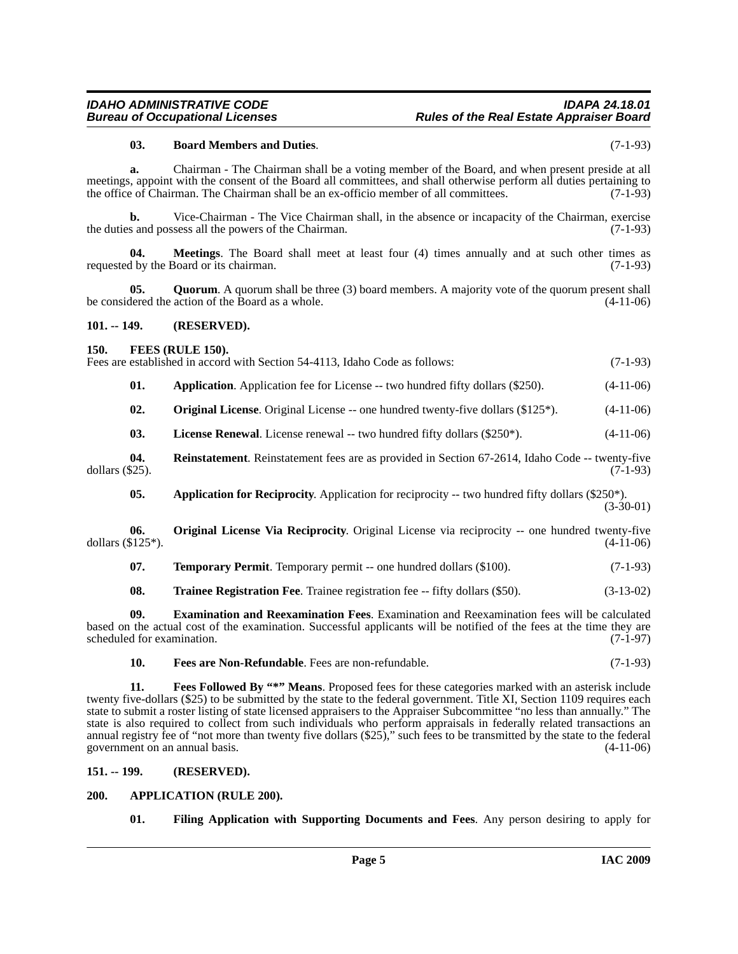# <span id="page-4-6"></span>**03. Board Members and Duties**. (7-1-93)

**a.** Chairman - The Chairman shall be a voting member of the Board, and when present preside at all meetings, appoint with the consent of the Board all committees, and shall otherwise perform all duties pertaining to the office of Chairman. The Chairman shall be an ex-officio member of all committees. (7-1-93)

**b.** Vice-Chairman - The Vice Chairman shall, in the absence or incapacity of the Chairman, exercise the duties and possess all the powers of the Chairman. (7-1-93)

**04. Meetings**. The Board shall meet at least four (4) times annually and at such other times as d by the Board or its chairman. (7-1-93) requested by the Board or its chairman.

**05. Quorum**. A quorum shall be three (3) board members. A majority vote of the quorum present shall be considered the action of the Board as a whole. (4-11-06)

#### <span id="page-4-0"></span>**101. -- 149. (RESERVED).**

#### <span id="page-4-8"></span><span id="page-4-1"></span>**150. FEES (RULE 150).**

Fees are established in accord with Section 54-4113, Idaho Code as follows: (7-1-93)

| 01. |  | <b>Application.</b> Application fee for License -- two hundred fifty dollars (\$250). | $(4-11-06)$ |
|-----|--|---------------------------------------------------------------------------------------|-------------|
|     |  |                                                                                       |             |

<span id="page-4-13"></span><span id="page-4-12"></span>**02. Original License**. Original License -- one hundred twenty-five dollars (\$125<sup>\*</sup>). (4-11-06)

<span id="page-4-15"></span>**03.** License Renewal. License renewal -- two hundred fifty dollars (\$250\*). (4-11-06)

**04.** Reinstatement. Reinstatement fees are as provided in Section 67-2614, Idaho Code -- twenty-five \$25). dollars  $(\$25)$ .

<span id="page-4-14"></span><span id="page-4-5"></span>**05.** Application for Reciprocity. Application for reciprocity -- two hundred fifty dollars (\$250\*).  $(3-30-01)$ 

**06. Original License Via Reciprocity**. Original License via reciprocity -- one hundred twenty-five dollars  $(\$125^*)$ . (4-11-06)

<span id="page-4-16"></span>

| 07. |  |  |  | <b>Temporary Permit.</b> Temporary permit -- one hundred dollars (\$100). |  | $(7-1-93)$ |
|-----|--|--|--|---------------------------------------------------------------------------|--|------------|
|-----|--|--|--|---------------------------------------------------------------------------|--|------------|

<span id="page-4-17"></span><span id="page-4-7"></span>**08. Trainee Registration Fee**. Trainee registration fee -- fifty dollars (\$50). (3-13-02)

**09. Examination and Reexamination Fees**. Examination and Reexamination fees will be calculated based on the actual cost of the examination. Successful applicants will be notified of the fees at the time they are scheduled for examination. (7-1-97)

<span id="page-4-10"></span><span id="page-4-9"></span>**10. Fees are Non-Refundable**. Fees are non-refundable. (7-1-93)

**11. Fees Followed By "\*" Means**. Proposed fees for these categories marked with an asterisk include twenty five-dollars (\$25) to be submitted by the state to the federal government. Title XI, Section 1109 requires each state to submit a roster listing of state licensed appraisers to the Appraiser Subcommittee "no less than annually." The state is also required to collect from such individuals who perform appraisals in federally related transactions an annual registry fee of "not more than twenty five dollars (\$25)," such fees to be transmitted by the state to the federal government on an annual basis. (4-11-06)

## <span id="page-4-2"></span>**151. -- 199. (RESERVED).**

### <span id="page-4-3"></span>**200. APPLICATION (RULE 200).**

<span id="page-4-11"></span><span id="page-4-4"></span>**01. Filing Application with Supporting Documents and Fees**. Any person desiring to apply for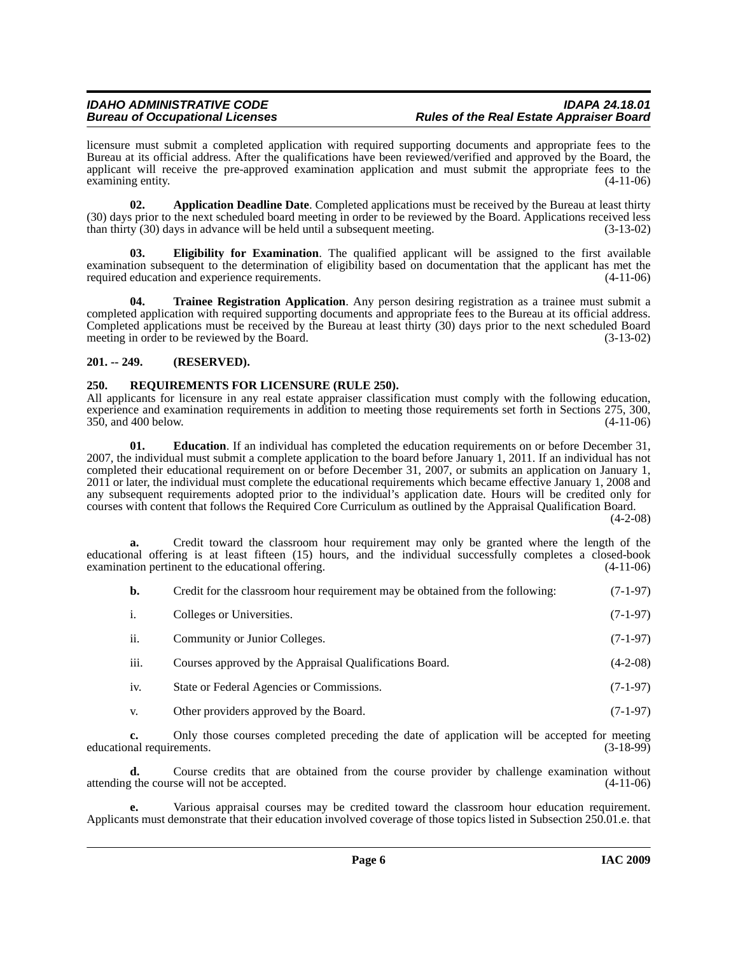licensure must submit a completed application with required supporting documents and appropriate fees to the Bureau at its official address. After the qualifications have been reviewed/verified and approved by the Board, the applicant will receive the pre-approved examination application and must submit the appropriate fees to the examining entity. (4-11-06) examining entity.

<span id="page-5-2"></span>**02. Application Deadline Date**. Completed applications must be received by the Bureau at least thirty (30) days prior to the next scheduled board meeting in order to be reviewed by the Board. Applications received less than thirty (30) days in advance will be held until a subsequent meeting. (3-13-02)

<span id="page-5-4"></span>**03. Eligibility for Examination**. The qualified applicant will be assigned to the first available examination subsequent to the determination of eligibility based on documentation that the applicant has met the required education and experience requirements. (4-11-06)

<span id="page-5-6"></span>**04. Trainee Registration Application**. Any person desiring registration as a trainee must submit a completed application with required supporting documents and appropriate fees to the Bureau at its official address. Completed applications must be received by the Bureau at least thirty (30) days prior to the next scheduled Board meeting in order to be reviewed by the Board. (3-13-02) meeting in order to be reviewed by the Board.

# <span id="page-5-0"></span>**201. -- 249. (RESERVED).**

# <span id="page-5-5"></span><span id="page-5-1"></span>**250. REQUIREMENTS FOR LICENSURE (RULE 250).**

All applicants for licensure in any real estate appraiser classification must comply with the following education, experience and examination requirements in addition to meeting those requirements set forth in Sections 275, 300, 350, and 400 below. (4-11-06)

<span id="page-5-3"></span>**01. Education**. If an individual has completed the education requirements on or before December 31, 2007, the individual must submit a complete application to the board before January 1, 2011. If an individual has not completed their educational requirement on or before December 31, 2007, or submits an application on January 1, 2011 or later, the individual must complete the educational requirements which became effective January 1, 2008 and any subsequent requirements adopted prior to the individual's application date. Hours will be credited only for courses with content that follows the Required Core Curriculum as outlined by the Appraisal Qualification Board.

(4-2-08)

**a.** Credit toward the classroom hour requirement may only be granted where the length of the educational offering is at least fifteen (15) hours, and the individual successfully completes a closed-book examination pertinent to the educational offering. (4-11-06)

| 1. | Colleges or Universities. | $(7-1-97)$ |
|----|---------------------------|------------|
|    |                           |            |

- ii. Community or Junior Colleges. (7-1-97)
- iii. Courses approved by the Appraisal Qualifications Board. (4-2-08)
- iv. State or Federal Agencies or Commissions. (7-1-97)
- v. Other providers approved by the Board. (7-1-97)

**c.** Only those courses completed preceding the date of application will be accepted for meeting nal requirements. (3-18-99) educational requirements.

**d.** Course credits that are obtained from the course provider by challenge examination without attending the course will not be accepted. (4-11-06)

**e.** Various appraisal courses may be credited toward the classroom hour education requirement. Applicants must demonstrate that their education involved coverage of those topics listed in Subsection 250.01.e. that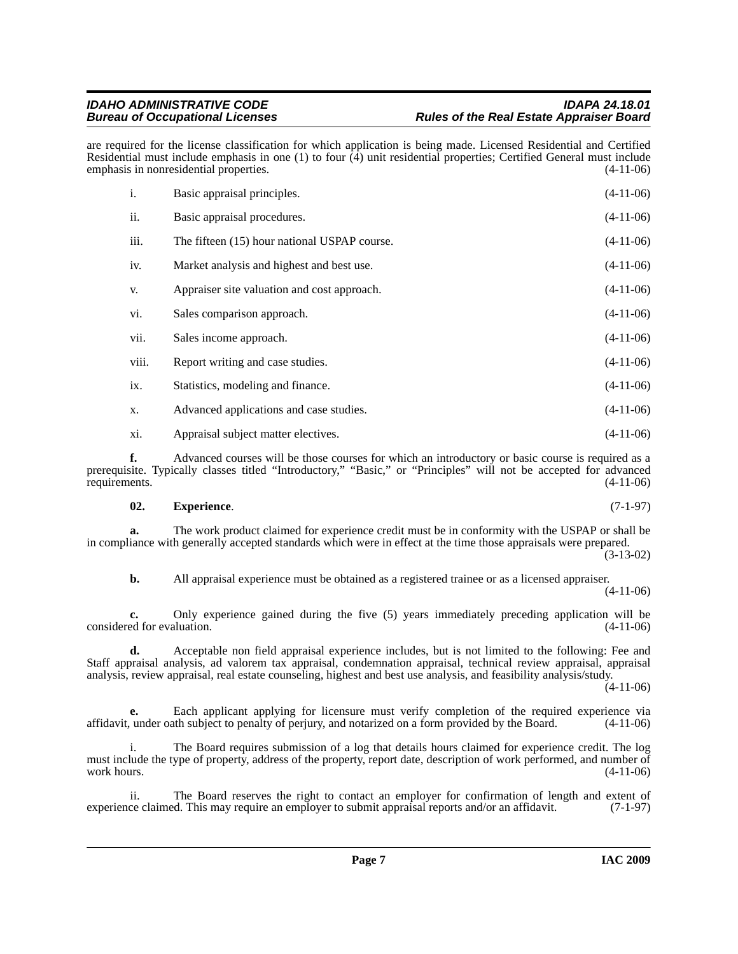are required for the license classification for which application is being made. Licensed Residential and Certified Residential must include emphasis in one (1) to four  $(4)$  unit residential properties; Certified General must include emphasis in nonresidential properties. (4-11-06)

| i.    | Basic appraisal principles.                  | $(4-11-06)$ |
|-------|----------------------------------------------|-------------|
| ii.   | Basic appraisal procedures.                  | $(4-11-06)$ |
| iii.  | The fifteen (15) hour national USPAP course. | $(4-11-06)$ |
| iv.   | Market analysis and highest and best use.    | $(4-11-06)$ |
| V.    | Appraiser site valuation and cost approach.  | $(4-11-06)$ |
| vi.   | Sales comparison approach.                   | $(4-11-06)$ |
| vii.  | Sales income approach.                       | $(4-11-06)$ |
| viii. | Report writing and case studies.             | $(4-11-06)$ |
| ix.   | Statistics, modeling and finance.            | $(4-11-06)$ |
| X.    | Advanced applications and case studies.      | $(4-11-06)$ |
| xi.   | Appraisal subject matter electives.          | $(4-11-06)$ |

**f.** Advanced courses will be those courses for which an introductory or basic course is required as a prerequisite. Typically classes titled "Introductory," "Basic," or "Principles" will not be accepted for advanced requirements. (4-11-06)

### <span id="page-6-0"></span>**02. Experience**. (7-1-97)

**a.** The work product claimed for experience credit must be in conformity with the USPAP or shall be in compliance with generally accepted standards which were in effect at the time those appraisals were prepared. (3-13-02)

**b.** All appraisal experience must be obtained as a registered trainee or as a licensed appraiser. (4-11-06)

**c.** Only experience gained during the five (5) years immediately preceding application will be ed for evaluation. (4-11-06) considered for evaluation.

**d.** Acceptable non field appraisal experience includes, but is not limited to the following: Fee and Staff appraisal analysis, ad valorem tax appraisal, condemnation appraisal, technical review appraisal, appraisal analysis, review appraisal, real estate counseling, highest and best use analysis, and feasibility analysis/study.

 $(4-11-06)$ 

Each applicant applying for licensure must verify completion of the required experience via ath subject to penalty of perjury, and notarized on a form provided by the Board. (4-11-06) affidavit, under oath subject to penalty of perjury, and notarized on a form provided by the Board.

i. The Board requires submission of a log that details hours claimed for experience credit. The log must include the type of property, address of the property, report date, description of work performed, and number of work hours. (4-11-06) work hours.  $(4-11-06)$ 

ii. The Board reserves the right to contact an employer for confirmation of length and extent of ce claimed. This may require an employer to submit appraisal reports and/or an affidavit. (7-1-97) experience claimed. This may require an employer to submit appraisal reports and/or an affidavit.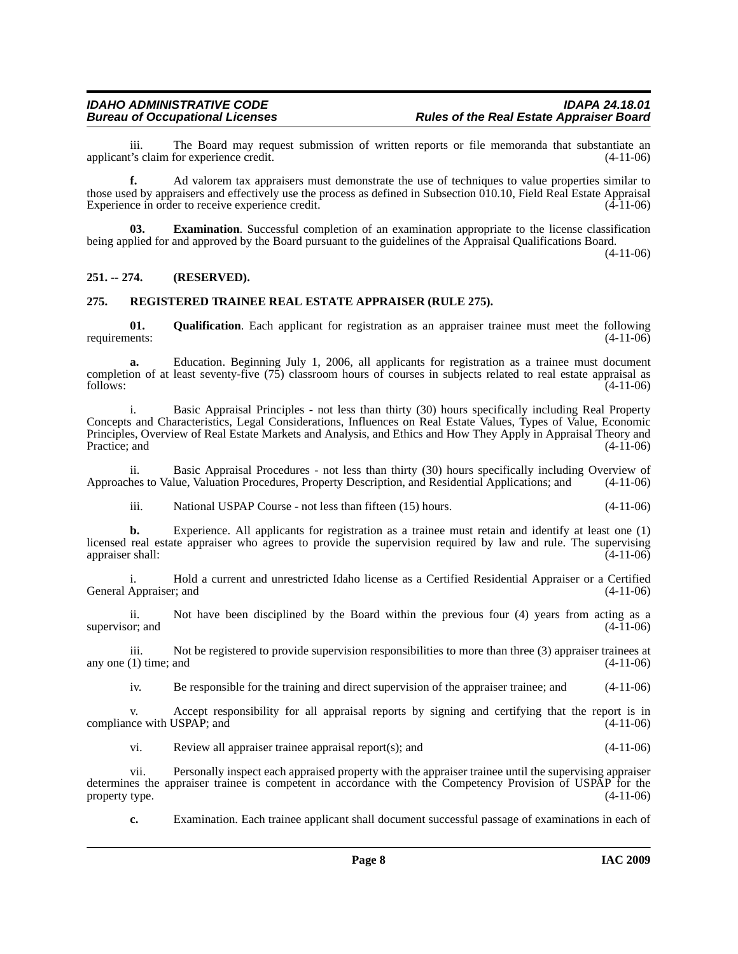iii. The Board may request submission of written reports or file memoranda that substantiate an t's claim for experience credit. (4-11-06) applicant's claim for experience credit.

**f.** Ad valorem tax appraisers must demonstrate the use of techniques to value properties similar to those used by appraisers and effectively use the process as defined in Subsection 010.10, Field Real Estate Appraisal Experience in order to receive experience credit. (4-11-06)

<span id="page-7-2"></span>**Examination**. Successful completion of an examination appropriate to the license classification being applied for and approved by the Board pursuant to the guidelines of the Appraisal Qualifications Board.

(4-11-06)

# <span id="page-7-0"></span>**251. -- 274. (RESERVED).**

# <span id="page-7-4"></span><span id="page-7-1"></span>**275. REGISTERED TRAINEE REAL ESTATE APPRAISER (RULE 275).**

<span id="page-7-3"></span>**01.** Qualification. Each applicant for registration as an appraiser trainee must meet the following ents: (4-11-06) requirements:

**a.** Education. Beginning July 1, 2006, all applicants for registration as a trainee must document completion of at least seventy-five  $(75)$  classroom hours of courses in subjects related to real estate appraisal as follows:  $(4-11-06)$  $f_{\text{0}}(4-11-06)$ 

i. Basic Appraisal Principles - not less than thirty (30) hours specifically including Real Property Concepts and Characteristics, Legal Considerations, Influences on Real Estate Values, Types of Value, Economic Principles, Overview of Real Estate Markets and Analysis, and Ethics and How They Apply in Appraisal Theory and Practice; and  $(4-11-06)$ 

ii. Basic Appraisal Procedures - not less than thirty (30) hours specifically including Overview of hes to Value, Valuation Procedures, Property Description, and Residential Applications; and (4-11-06) Approaches to Value, Valuation Procedures, Property Description, and Residential Applications; and

iii. National USPAP Course - not less than fifteen (15) hours. (4-11-06)

**b.** Experience. All applicants for registration as a trainee must retain and identify at least one (1) licensed real estate appraiser who agrees to provide the supervision required by law and rule. The supervising appraiser shall: (4-11-06) appraiser shall:

i. Hold a current and unrestricted Idaho license as a Certified Residential Appraiser or a Certified General Appraiser; and (4-11-06)

ii. Not have been disciplined by the Board within the previous four (4) years from acting as a or: and  $(4-11-06)$ supervisor; and

iii. Not be registered to provide supervision responsibilities to more than three (3) appraiser trainees at  $(1)$  time; and  $(4-11-06)$ any one  $(1)$  time; and

iv. Be responsible for the training and direct supervision of the appraiser trainee; and (4-11-06)

v. Accept responsibility for all appraisal reports by signing and certifying that the report is in compliance with USPAP; and (4-11-06)

vi. Review all appraiser trainee appraisal report(s); and (4-11-06)

vii. Personally inspect each appraised property with the appraiser trainee until the supervising appraiser determines the appraiser trainee is competent in accordance with the Competency Provision of USPAP for the property type. (4-11-06) property type.

**c.** Examination. Each trainee applicant shall document successful passage of examinations in each of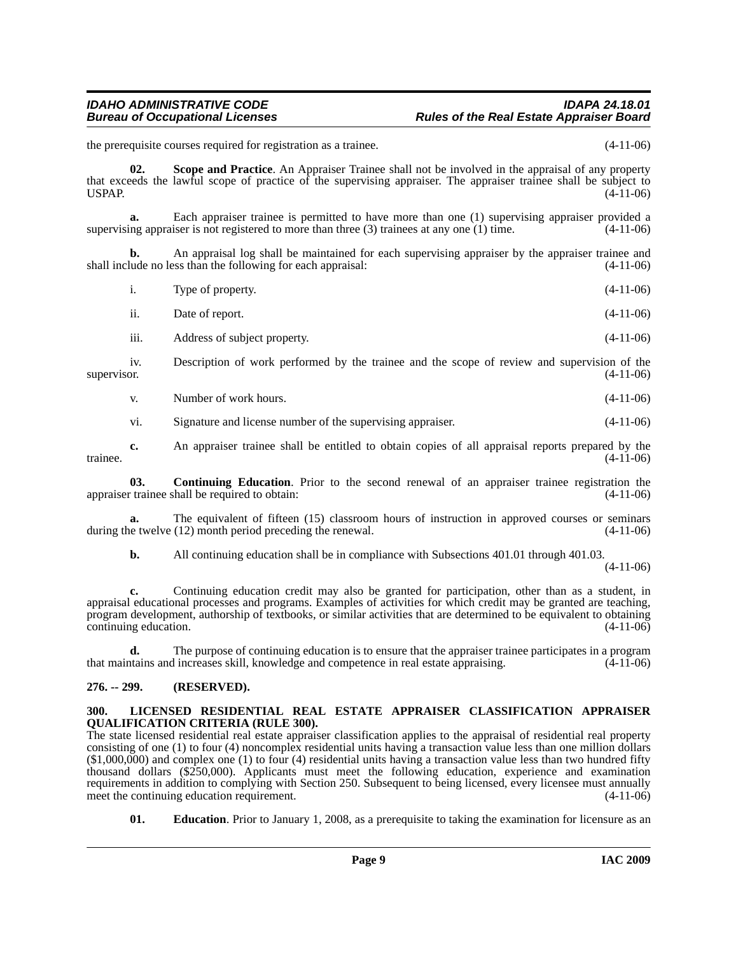# *IDAHO ADMINISTRATIVE CODE IDAPA 24.18.01* **Rules of the Real Estate Appraiser Board**

the prerequisite courses required for registration as a trainee. (4-11-06)

<span id="page-8-5"></span>**02. Scope and Practice**. An Appraiser Trainee shall not be involved in the appraisal of any property that exceeds the lawful scope of practice of the supervising appraiser. The appraiser trainee shall be subject to USPAP. (4-11-06)

**a.** Each appraiser trainee is permitted to have more than one (1) supervising appraiser provided a ing appraiser is not registered to more than three (3) trainees at any one (1) time. (4-11-06) supervising appraiser is not registered to more than three  $(3)$  trainees at any one  $(1)$  time.

**b.** An appraisal log shall be maintained for each supervising appraiser by the appraiser trainee and lude no less than the following for each appraisal: (4-11-06) shall include no less than the following for each appraisal:

i. Type of property. (4-11-06)

- ii. Date of report. (4-11-06)
- iii. Address of subject property. (4-11-06)

iv. Description of work performed by the trainee and the scope of review and supervision of the supervisor.  $(4-11-06)$ 

v. Number of work hours. (4-11-06)

<span id="page-8-2"></span>vi. Signature and license number of the supervising appraiser. (4-11-06)

**c.** An appraiser trainee shall be entitled to obtain copies of all appraisal reports prepared by the trainee.  $(4-11-06)$ 

**03. Continuing Education**. Prior to the second renewal of an appraiser trainee registration the appraiser trainee shall be required to obtain: (4-11-06)

**a.** The equivalent of fifteen (15) classroom hours of instruction in approved courses or seminars during the twelve (12) month period preceding the renewal. (4-11-06)

**b.** All continuing education shall be in compliance with Subsections 401.01 through 401.03.

(4-11-06)

**c.** Continuing education credit may also be granted for participation, other than as a student, in appraisal educational processes and programs. Examples of activities for which credit may be granted are teaching, program development, authorship of textbooks, or similar activities that are determined to be equivalent to obtaining continuing education. (4-11-06)

**d.** The purpose of continuing education is to ensure that the appraiser trainee participates in a program trains and increases skill, knowledge and competence in real estate appraising. (4-11-06) that maintains and increases skill, knowledge and competence in real estate appraising.

# <span id="page-8-0"></span>**276. -- 299. (RESERVED).**

#### <span id="page-8-4"></span><span id="page-8-1"></span>**300. LICENSED RESIDENTIAL REAL ESTATE APPRAISER CLASSIFICATION APPRAISER QUALIFICATION CRITERIA (RULE 300).**

The state licensed residential real estate appraiser classification applies to the appraisal of residential real property consisting of one (1) to four (4) noncomplex residential units having a transaction value less than one million dollars (\$1,000,000) and complex one (1) to four (4) residential units having a transaction value less than two hundred fifty thousand dollars (\$250,000). Applicants must meet the following education, experience and examination requirements in addition to complying with Section 250. Subsequent to being licensed, every licensee must annually meet the continuing education requirement. (4-11-06) meet the continuing education requirement.

<span id="page-8-3"></span>**01. Education**. Prior to January 1, 2008, as a prerequisite to taking the examination for licensure as an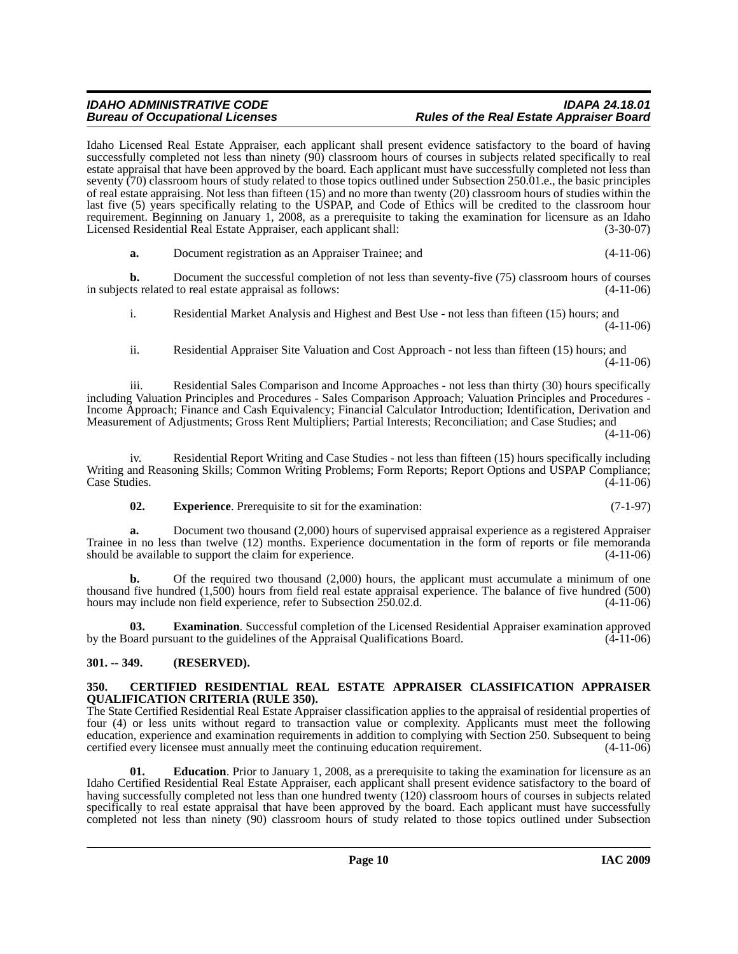# *IDAHO ADMINISTRATIVE CODE IDAPA 24.18.01* **Rules of the Real Estate Appraiser Board**

Idaho Licensed Real Estate Appraiser, each applicant shall present evidence satisfactory to the board of having successfully completed not less than ninety (90) classroom hours of courses in subjects related specifically to real estate appraisal that have been approved by the board. Each applicant must have successfully completed not less than seventy (70) classroom hours of study related to those topics outlined under Subsection 250.01.e., the basic principles of real estate appraising. Not less than fifteen (15) and no more than twenty (20) classroom hours of studies within the last five (5) years specifically relating to the USPAP, and Code of Ethics will be credited to the classroom hour requirement. Beginning on January 1, 2008, as a prerequisite to taking the examination for licensure as an Idaho Licensed Residential Real Estate Appraiser, each applicant shall: (3-30-07)

**a.** Document registration as an Appraiser Trainee; and (4-11-06)

**b.** Document the successful completion of not less than seventy-five (75) classroom hours of courses ts related to real estate appraisal as follows:  $(4-11-06)$ in subjects related to real estate appraisal as follows:

i. Residential Market Analysis and Highest and Best Use - not less than fifteen (15) hours; and (4-11-06)

ii. Residential Appraiser Site Valuation and Cost Approach - not less than fifteen (15) hours; and (4-11-06)

iii. Residential Sales Comparison and Income Approaches - not less than thirty (30) hours specifically including Valuation Principles and Procedures - Sales Comparison Approach; Valuation Principles and Procedures - Income Approach; Finance and Cash Equivalency; Financial Calculator Introduction; Identification, Derivation and Measurement of Adjustments; Gross Rent Multipliers; Partial Interests; Reconciliation; and Case Studies; and

(4-11-06)

iv. Residential Report Writing and Case Studies - not less than fifteen (15) hours specifically including Writing and Reasoning Skills; Common Writing Problems; Form Reports; Report Options and USPAP Compliance; Case Studies. (4-11-06) Case Studies. (4-11-06)

<span id="page-9-5"></span>**02. Experience**. Prerequisite to sit for the examination: (7-1-97)

**a.** Document two thousand (2,000) hours of supervised appraisal experience as a registered Appraiser Trainee in no less than twelve (12) months. Experience documentation in the form of reports or file memoranda should be available to support the claim for experience. (4-11-06) should be available to support the claim for experience.

**b.** Of the required two thousand (2,000) hours, the applicant must accumulate a minimum of one thousand five hundred (1,500) hours from field real estate appraisal experience. The balance of five hundred (500) hours may include non field experience, refer to Subsection 250.02.d. (4-11-06)

<span id="page-9-4"></span>**03. Examination**. Successful completion of the Licensed Residential Appraiser examination approved by the Board pursuant to the guidelines of the Appraisal Qualifications Board. (4-11-06)

# <span id="page-9-0"></span>**301. -- 349. (RESERVED).**

### <span id="page-9-2"></span><span id="page-9-1"></span>**350. CERTIFIED RESIDENTIAL REAL ESTATE APPRAISER CLASSIFICATION APPRAISER QUALIFICATION CRITERIA (RULE 350).**

The State Certified Residential Real Estate Appraiser classification applies to the appraisal of residential properties of four (4) or less units without regard to transaction value or complexity. Applicants must meet the following education, experience and examination requirements in addition to complying with Section 250. Subsequent to being certified every licensee must annually meet the continuing education requirement. (4-11-06)

<span id="page-9-3"></span>**01. Education**. Prior to January 1, 2008, as a prerequisite to taking the examination for licensure as an Idaho Certified Residential Real Estate Appraiser, each applicant shall present evidence satisfactory to the board of having successfully completed not less than one hundred twenty (120) classroom hours of courses in subjects related specifically to real estate appraisal that have been approved by the board. Each applicant must have successfully completed not less than ninety (90) classroom hours of study related to those topics outlined under Subsection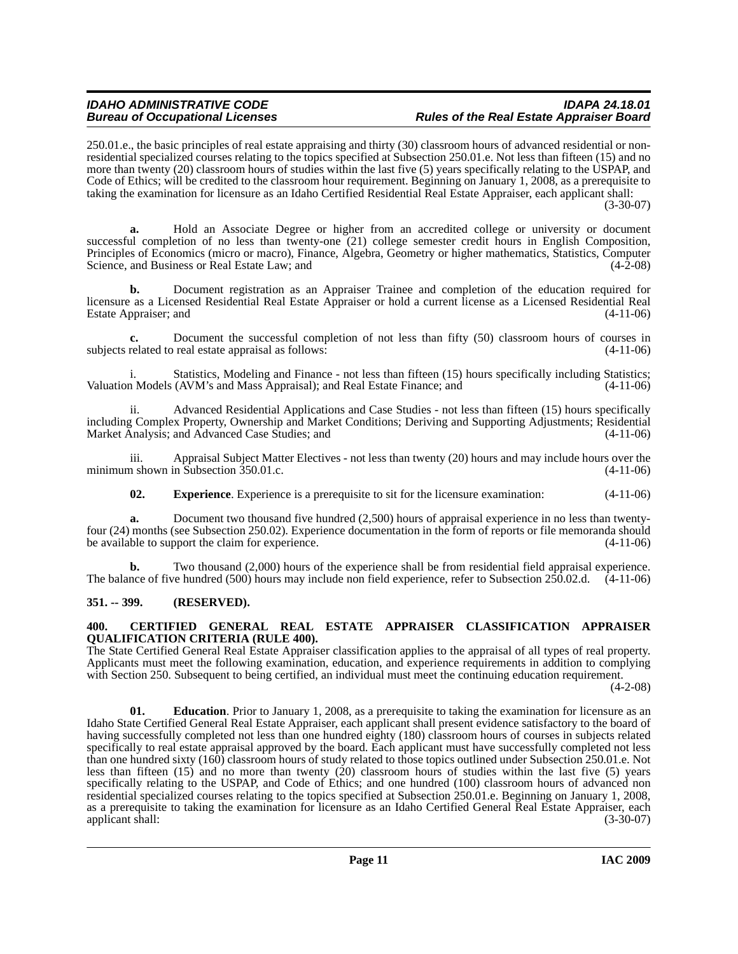# *IDAHO ADMINISTRATIVE CODE IDAPA 24.18.01* **Rules of the Real Estate Appraiser Board**

250.01.e., the basic principles of real estate appraising and thirty (30) classroom hours of advanced residential or nonresidential specialized courses relating to the topics specified at Subsection 250.01.e. Not less than fifteen (15) and no more than twenty (20) classroom hours of studies within the last five (5) years specifically relating to the USPAP, and Code of Ethics; will be credited to the classroom hour requirement. Beginning on January 1, 2008, as a prerequisite to taking the examination for licensure as an Idaho Certified Residential Real Estate Appraiser, each applicant shall:

(3-30-07)

**a.** Hold an Associate Degree or higher from an accredited college or university or document successful completion of no less than twenty-one (21) college semester credit hours in English Composition, Principles of Economics (micro or macro), Finance, Algebra, Geometry or higher mathematics, Statistics, Computer Science, and Business or Real Estate Law; and (4-2-08) Science, and Business or Real Estate Law; and

**b.** Document registration as an Appraiser Trainee and completion of the education required for licensure as a Licensed Residential Real Estate Appraiser or hold a current license as a Licensed Residential Real Estate Appraiser; and (4-11-06)

**c.** Document the successful completion of not less than fifty (50) classroom hours of courses in subjects related to real estate appraisal as follows: (4-11-06)

i. Statistics, Modeling and Finance - not less than fifteen (15) hours specifically including Statistics; Valuation Models (AVM's and Mass Appraisal); and Real Estate Finance; and (4-11-06)

ii. Advanced Residential Applications and Case Studies - not less than fifteen (15) hours specifically including Complex Property, Ownership and Market Conditions; Deriving and Supporting Adjustments; Residential Market Analysis; and Advanced Case Studies; and (4-11-06)

iii. Appraisal Subject Matter Electives - not less than twenty (20) hours and may include hours over the n shown in Subsection 350.01.c. minimum shown in Subsection  $350.01.c.$ 

<span id="page-10-4"></span>**02.** Experience. Experience is a prerequisite to sit for the licensure examination:  $(4-11-06)$ 

**a.** Document two thousand five hundred (2,500) hours of appraisal experience in no less than twentyfour (24) months (see Subsection 250.02). Experience documentation in the form of reports or file memoranda should be available to support the claim for experience. (4-11-06)

**b.** Two thousand (2,000) hours of the experience shall be from residential field appraisal experience. The balance of five hundred (500) hours may include non field experience, refer to Subsection 250.02.d. (4-11-06)

# <span id="page-10-0"></span>**351. -- 399. (RESERVED).**

# <span id="page-10-2"></span><span id="page-10-1"></span>**400. CERTIFIED GENERAL REAL ESTATE APPRAISER CLASSIFICATION APPRAISER QUALIFICATION CRITERIA (RULE 400).**

The State Certified General Real Estate Appraiser classification applies to the appraisal of all types of real property. Applicants must meet the following examination, education, and experience requirements in addition to complying with Section 250. Subsequent to being certified, an individual must meet the continuing education requirement.

(4-2-08)

<span id="page-10-3"></span>**Education**. Prior to January 1, 2008, as a prerequisite to taking the examination for licensure as an Idaho State Certified General Real Estate Appraiser, each applicant shall present evidence satisfactory to the board of having successfully completed not less than one hundred eighty (180) classroom hours of courses in subjects related specifically to real estate appraisal approved by the board. Each applicant must have successfully completed not less than one hundred sixty (160) classroom hours of study related to those topics outlined under Subsection 250.01.e. Not less than fifteen (15) and no more than twenty (20) classroom hours of studies within the last five (5) years specifically relating to the USPAP, and Code of Ethics; and one hundred (100) classroom hours of advanced non residential specialized courses relating to the topics specified at Subsection 250.01.e. Beginning on January 1, 2008, as a prerequisite to taking the examination for licensure as an Idaho Certified General Real Estate Appraiser, each applicant shall: (3-30-07)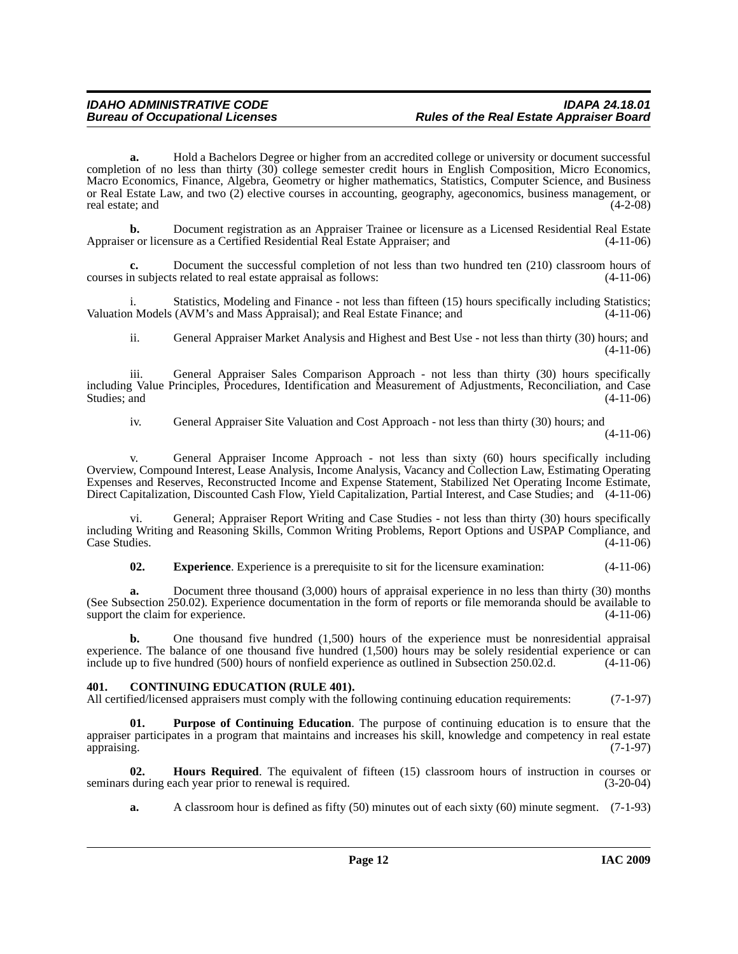**a.** Hold a Bachelors Degree or higher from an accredited college or university or document successful completion of no less than thirty (30) college semester credit hours in English Composition, Micro Economics, Macro Economics, Finance, Algebra, Geometry or higher mathematics, Statistics, Computer Science, and Business or Real Estate Law, and two (2) elective courses in accounting, geography, ageconomics, business management, or real estate; and (4-2-08)

**b.** Document registration as an Appraiser Trainee or licensure as a Licensed Residential Real Estate Appraiser or licensure as a Certified Residential Real Estate Appraiser; and (4-11-06)

**c.** Document the successful completion of not less than two hundred ten (210) classroom hours of n subjects related to real estate appraisal as follows: (4-11-06) courses in subjects related to real estate appraisal as follows:

Statistics, Modeling and Finance - not less than fifteen (15) hours specifically including Statistics; Valuation Models (AVM's and Mass Appraisal); and Real Estate Finance; and (4-11-06)

ii. General Appraiser Market Analysis and Highest and Best Use - not less than thirty (30) hours; and (4-11-06)

iii. General Appraiser Sales Comparison Approach - not less than thirty (30) hours specifically including Value Principles, Procedures, Identification and Measurement of Adjustments, Reconciliation, and Case Studies; and  $(4-11-06)$ 

iv. General Appraiser Site Valuation and Cost Approach - not less than thirty (30) hours; and (4-11-06)

v. General Appraiser Income Approach - not less than sixty (60) hours specifically including Overview, Compound Interest, Lease Analysis, Income Analysis, Vacancy and Collection Law, Estimating Operating Expenses and Reserves, Reconstructed Income and Expense Statement, Stabilized Net Operating Income Estimate, Direct Capitalization, Discounted Cash Flow, Yield Capitalization, Partial Interest, and Case Studies; and (4-11-06)

General; Appraiser Report Writing and Case Studies - not less than thirty (30) hours specifically including Writing and Reasoning Skills, Common Writing Problems, Report Options and USPAP Compliance, and Case Studies.

<span id="page-11-2"></span>**02. Experience**. Experience is a prerequisite to sit for the licensure examination:  $(4-11-06)$ 

**a.** Document three thousand (3,000) hours of appraisal experience in no less than thirty (30) months (See Subsection 250.02). Experience documentation in the form of reports or file memoranda should be available to support the claim for experience. support the claim for experience.

**b.** One thousand five hundred (1,500) hours of the experience must be nonresidential appraisal experience. The balance of one thousand five hundred (1,500) hours may be solely residential experience or can include up to five hundred (500) hours of nonfield experience as outlined in Subsection 250.02.d. (4-11-06)

# <span id="page-11-1"></span><span id="page-11-0"></span>**401. CONTINUING EDUCATION (RULE 401).**

All certified/licensed appraisers must comply with the following continuing education requirements: (7-1-97)

<span id="page-11-4"></span>**01. Purpose of Continuing Education**. The purpose of continuing education is to ensure that the appraiser participates in a program that maintains and increases his skill, knowledge and competency in real estate appraising. (7-1-97)

**02. Hours Required**. The equivalent of fifteen (15) classroom hours of instruction in courses or during each year prior to renewal is required. (3-20-04) seminars during each year prior to renewal is required.

<span id="page-11-3"></span>**a.** A classroom hour is defined as fifty (50) minutes out of each sixty (60) minute segment. (7-1-93)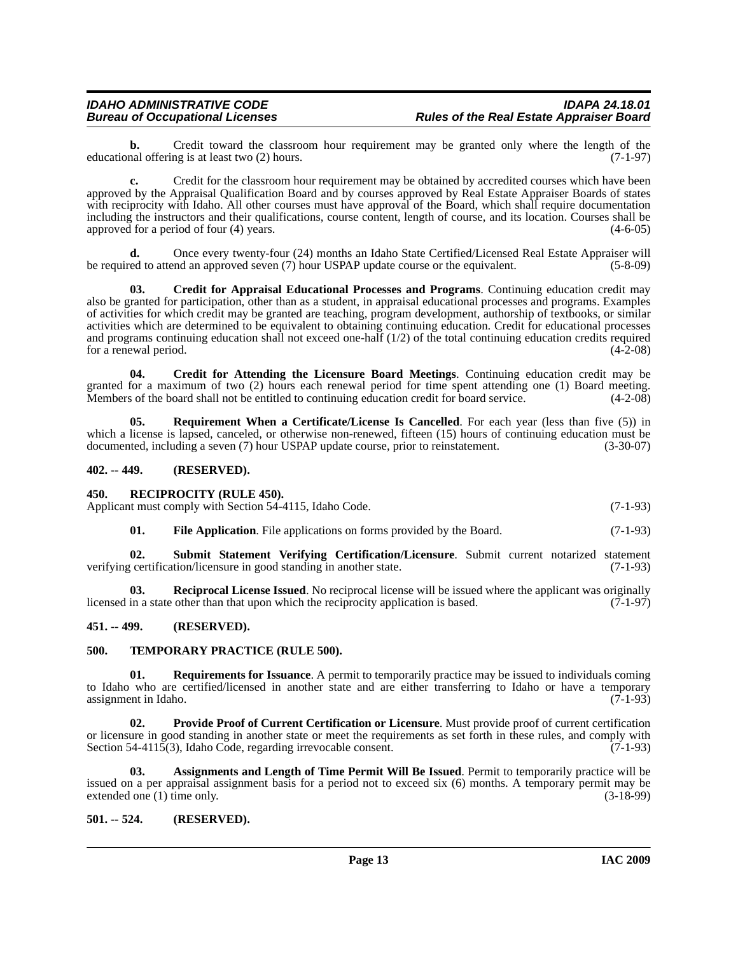**b.** Credit toward the classroom hour requirement may be granted only where the length of the nal offering is at least two (2) hours. (7-1-97) educational offering is at least two  $(2)$  hours.

**c.** Credit for the classroom hour requirement may be obtained by accredited courses which have been approved by the Appraisal Qualification Board and by courses approved by Real Estate Appraiser Boards of states with reciprocity with Idaho. All other courses must have approval of the Board, which shall require documentation including the instructors and their qualifications, course content, length of course, and its location. Courses shall be approved for a period of four (4) years. (4-6-05)

**d.** Once every twenty-four (24) months an Idaho State Certified/Licensed Real Estate Appraiser will be required to attend an approved seven (7) hour USPAP update course or the equivalent. (5-8-09)

<span id="page-12-6"></span>**03. Credit for Appraisal Educational Processes and Programs**. Continuing education credit may also be granted for participation, other than as a student, in appraisal educational processes and programs. Examples of activities for which credit may be granted are teaching, program development, authorship of textbooks, or similar activities which are determined to be equivalent to obtaining continuing education. Credit for educational processes and programs continuing education shall not exceed one-half (1/2) of the total continuing education credits required for a renewal period. (4-2-08)

<span id="page-12-7"></span>**04. Credit for Attending the Licensure Board Meetings**. Continuing education credit may be granted for a maximum of two (2) hours each renewal period for time spent attending one (1) Board meeting.<br>Members of the board shall not be entitled to continuing education credit for board service. (4-2-08) Members of the board shall not be entitled to continuing education credit for board service.

<span id="page-12-12"></span>**05. Requirement When a Certificate/License Is Cancelled**. For each year (less than five (5)) in which a license is lapsed, canceled, or otherwise non-renewed, fifteen (15) hours of continuing education must be documented, including a seven (7) hour USPAP update course, prior to reinstatement. (3-30-07) documented, including a seven (7) hour USPAP update course, prior to reinstatement.

# <span id="page-12-0"></span>**402. -- 449. (RESERVED).**

# <span id="page-12-11"></span><span id="page-12-1"></span>**450. RECIPROCITY (RULE 450).**

Applicant must comply with Section 54-4115, Idaho Code. (7-1-93)

<span id="page-12-14"></span><span id="page-12-10"></span><span id="page-12-8"></span>**01.** File Application. File applications on forms provided by the Board. (7-1-93)

**02. Submit Statement Verifying Certification/Licensure**. Submit current notarized statement verifying certification/licensure in good standing in another state. (7-1-93)

**03. Reciprocal License Issued**. No reciprocal license will be issued where the applicant was originally licensed in a state other than that upon which the reciprocity application is based.  $(7-1-97)$ 

# <span id="page-12-2"></span>**451. -- 499. (RESERVED).**

# <span id="page-12-15"></span><span id="page-12-3"></span>**500. TEMPORARY PRACTICE (RULE 500).**

<span id="page-12-13"></span>**01. Requirements for Issuance**. A permit to temporarily practice may be issued to individuals coming to Idaho who are certified/licensed in another state and are either transferring to Idaho or have a temporary assignment in Idaho. (7-1-93)

<span id="page-12-9"></span>**02. Provide Proof of Current Certification or Licensure**. Must provide proof of current certification or licensure in good standing in another state or meet the requirements as set forth in these rules, and comply with Section 54-4115(3), Idaho Code, regarding irrevocable consent.  $(7-1-93)$ 

<span id="page-12-5"></span>**03. Assignments and Length of Time Permit Will Be Issued**. Permit to temporarily practice will be issued on a per appraisal assignment basis for a period not to exceed six (6) months. A temporary permit may be extended one (1) time only. (3-18-99) extended one  $(1)$  time only.

# <span id="page-12-4"></span>**501. -- 524. (RESERVED).**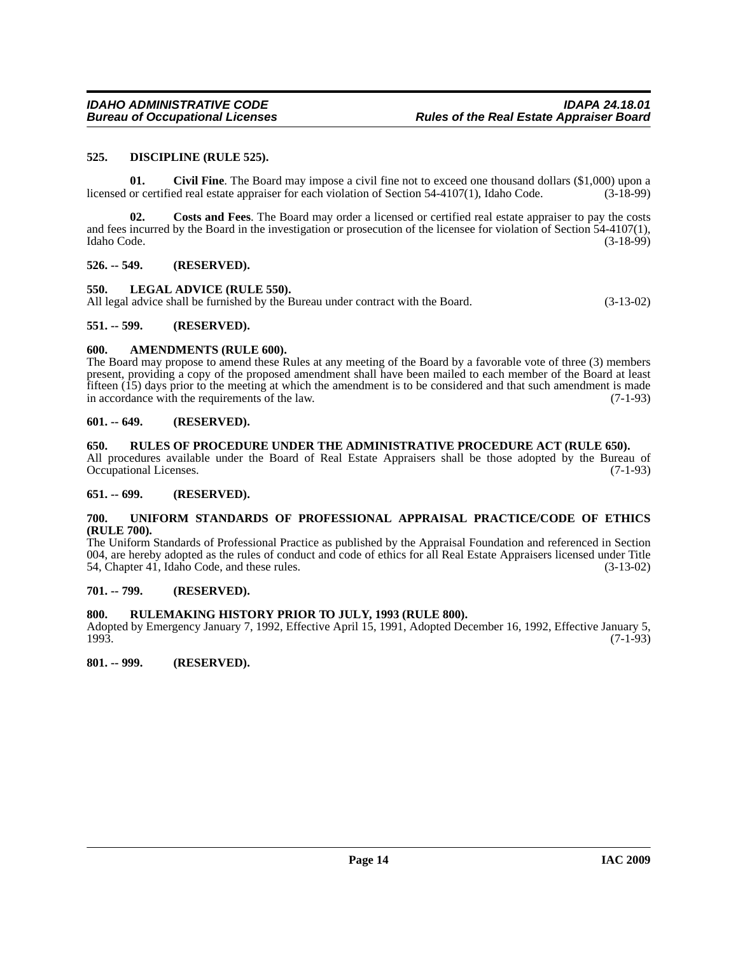# <span id="page-13-15"></span><span id="page-13-0"></span>**525. DISCIPLINE (RULE 525).**

<span id="page-13-13"></span>**01. Civil Fine**. The Board may impose a civil fine not to exceed one thousand dollars (\$1,000) upon a licensed or certified real estate appraiser for each violation of Section 54-4107(1), Idaho Code. (3-18-99)

<span id="page-13-14"></span>**02. Costs and Fees**. The Board may order a licensed or certified real estate appraiser to pay the costs and fees incurred by the Board in the investigation or prosecution of the licensee for violation of Section 54-4107(1), Idaho Code. (3-18-99)

# <span id="page-13-1"></span>**526. -- 549. (RESERVED).**

<span id="page-13-16"></span><span id="page-13-2"></span>**550. LEGAL ADVICE (RULE 550).** All legal advice shall be furnished by the Bureau under contract with the Board. (3-13-02)

### <span id="page-13-3"></span>**551. -- 599. (RESERVED).**

#### <span id="page-13-12"></span><span id="page-13-4"></span>**600. AMENDMENTS (RULE 600).**

The Board may propose to amend these Rules at any meeting of the Board by a favorable vote of three (3) members present, providing a copy of the proposed amendment shall have been mailed to each member of the Board at least fifteen (15) days prior to the meeting at which the amendment is to be considered and that such amendment is made<br>in accordance with the requirements of the law. in accordance with the requirements of the law.

### <span id="page-13-5"></span>**601. -- 649. (RESERVED).**

#### <span id="page-13-17"></span><span id="page-13-6"></span>**650. RULES OF PROCEDURE UNDER THE ADMINISTRATIVE PROCEDURE ACT (RULE 650).**

All procedures available under the Board of Real Estate Appraisers shall be those adopted by the Bureau of Occupational Licenses. (7-1-93) Occupational Licenses.

### <span id="page-13-7"></span>**651. -- 699. (RESERVED).**

#### <span id="page-13-18"></span><span id="page-13-8"></span>**700. UNIFORM STANDARDS OF PROFESSIONAL APPRAISAL PRACTICE/CODE OF ETHICS (RULE 700).**

The Uniform Standards of Professional Practice as published by the Appraisal Foundation and referenced in Section 004, are hereby adopted as the rules of conduct and code of ethics for all Real Estate Appraisers licensed under Title 54, Chapter 41, Idaho Code, and these rules. (3-13-02)

### <span id="page-13-9"></span>**701. -- 799. (RESERVED).**

### <span id="page-13-10"></span>**800. RULEMAKING HISTORY PRIOR TO JULY, 1993 (RULE 800).**

Adopted by Emergency January 7, 1992, Effective April 15, 1991, Adopted December 16, 1992, Effective January 5, 1993. (7-1-93)

<span id="page-13-11"></span>**801. -- 999. (RESERVED).**